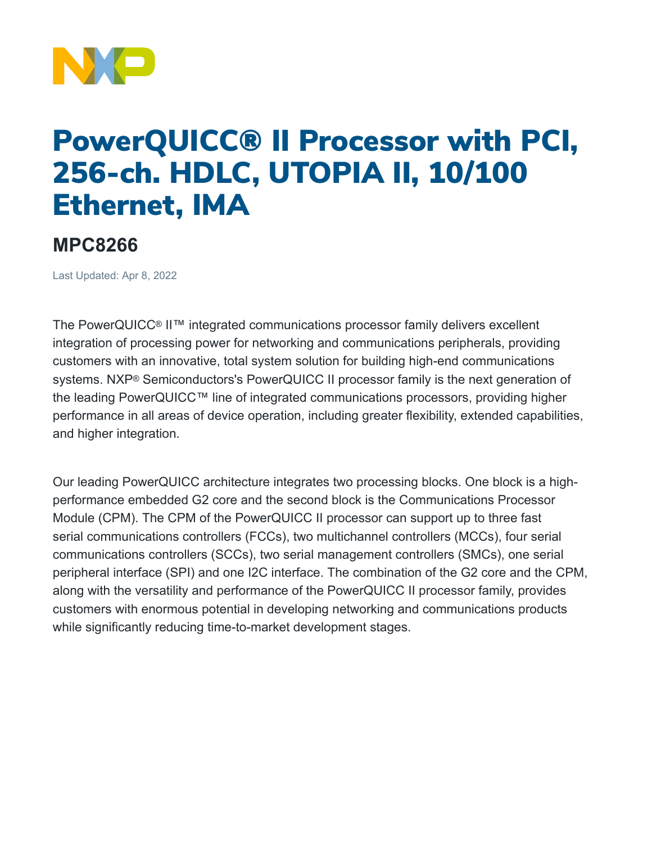

## PowerQUICC® II Processor with PCI, 256-ch. HDLC, UTOPIA II, 10/100 Ethernet, IMA

## **MPC8266**

Last Updated: Apr 8, 2022

The PowerQUICC® II™ integrated communications processor family delivers excellent integration of processing power for networking and communications peripherals, providing customers with an innovative, total system solution for building high-end communications systems. NXP® Semiconductors's PowerQUICC II processor family is the next generation of the leading PowerQUICC™ line of integrated communications processors, providing higher performance in all areas of device operation, including greater flexibility, extended capabilities, and higher integration.

Our leading PowerQUICC architecture integrates two processing blocks. One block is a highperformance embedded G2 core and the second block is the Communications Processor Module (CPM). The CPM of the PowerQUICC II processor can support up to three fast serial communications controllers (FCCs), two multichannel controllers (MCCs), four serial communications controllers (SCCs), two serial management controllers (SMCs), one serial peripheral interface (SPI) and one I2C interface. The combination of the G2 core and the CPM, along with the versatility and performance of the PowerQUICC II processor family, provides customers with enormous potential in developing networking and communications products while significantly reducing time-to-market development stages.